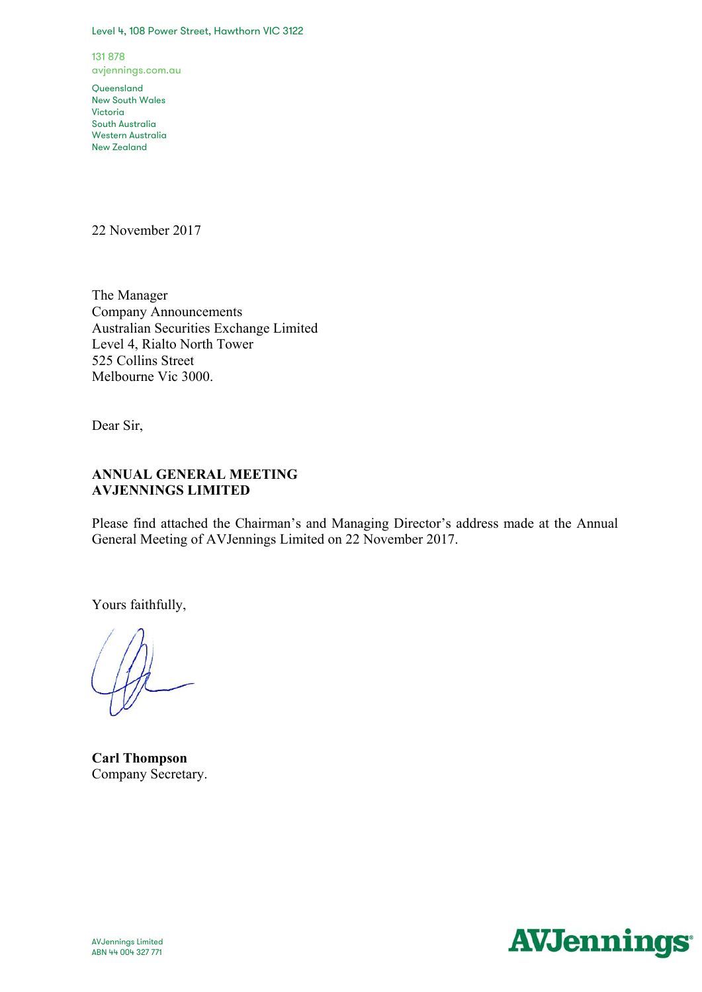#### Level 4, 108 Power Street, Hawthorn VIC 3122

131 878 avjennings.com.au

**Queensland** New South Wales Victoria South Australia Western Australia New Zealand

22 November 2017

The Manager Company Announcements Australian Securities Exchange Limited Level 4, Rialto North Tower 525 Collins Street Melbourne Vic 3000.

Dear Sir,

# **ANNUAL GENERAL MEETING AVJENNINGS LIMITED**

Please find attached the Chairman's and Managing Director's address made at the Annual General Meeting of AVJennings Limited on 22 November 2017.

Yours faithfully,

**Carl Thompson**  Company Secretary.

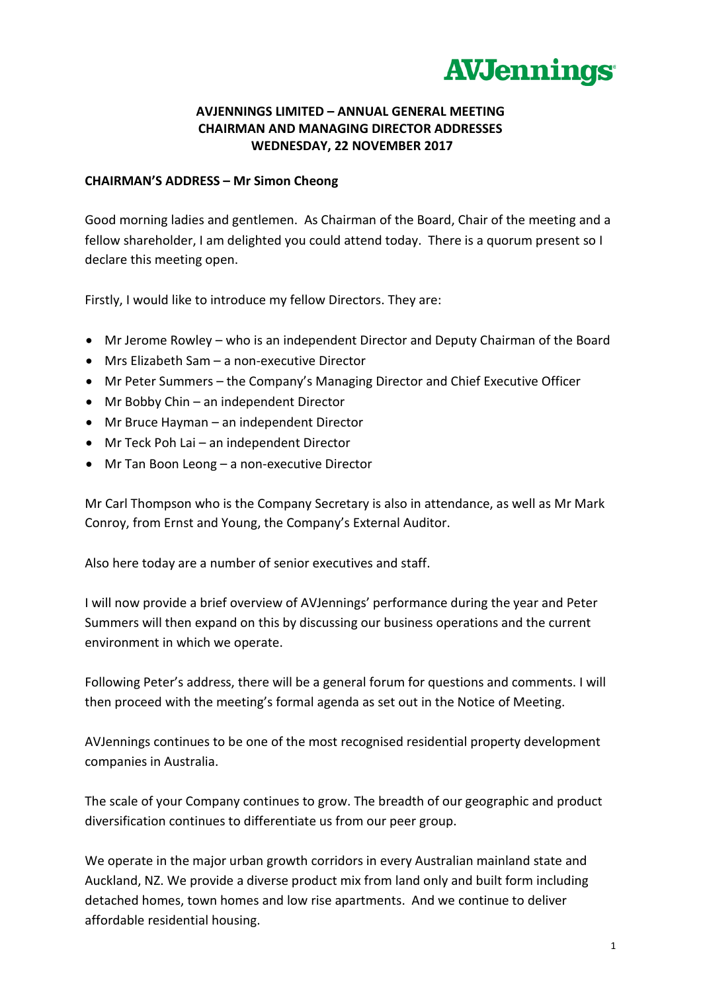

# **AVJENNINGS LIMITED – ANNUAL GENERAL MEETING CHAIRMAN AND MANAGING DIRECTOR ADDRESSES WEDNESDAY, 22 NOVEMBER 2017**

### **CHAIRMAN'S ADDRESS – Mr Simon Cheong**

Good morning ladies and gentlemen. As Chairman of the Board, Chair of the meeting and a fellow shareholder, I am delighted you could attend today. There is a quorum present so I declare this meeting open.

Firstly, I would like to introduce my fellow Directors. They are:

- Mr Jerome Rowley who is an independent Director and Deputy Chairman of the Board
- Mrs Elizabeth Sam a non-executive Director
- Mr Peter Summers the Company's Managing Director and Chief Executive Officer
- Mr Bobby Chin an independent Director
- Mr Bruce Hayman an independent Director
- Mr Teck Poh Lai an independent Director
- Mr Tan Boon Leong a non-executive Director

Mr Carl Thompson who is the Company Secretary is also in attendance, as well as Mr Mark Conroy, from Ernst and Young, the Company's External Auditor.

Also here today are a number of senior executives and staff.

I will now provide a brief overview of AVJennings' performance during the year and Peter Summers will then expand on this by discussing our business operations and the current environment in which we operate.

Following Peter's address, there will be a general forum for questions and comments. I will then proceed with the meeting's formal agenda as set out in the Notice of Meeting.

AVJennings continues to be one of the most recognised residential property development companies in Australia.

The scale of your Company continues to grow. The breadth of our geographic and product diversification continues to differentiate us from our peer group.

We operate in the major urban growth corridors in every Australian mainland state and Auckland, NZ. We provide a diverse product mix from land only and built form including detached homes, town homes and low rise apartments. And we continue to deliver affordable residential housing.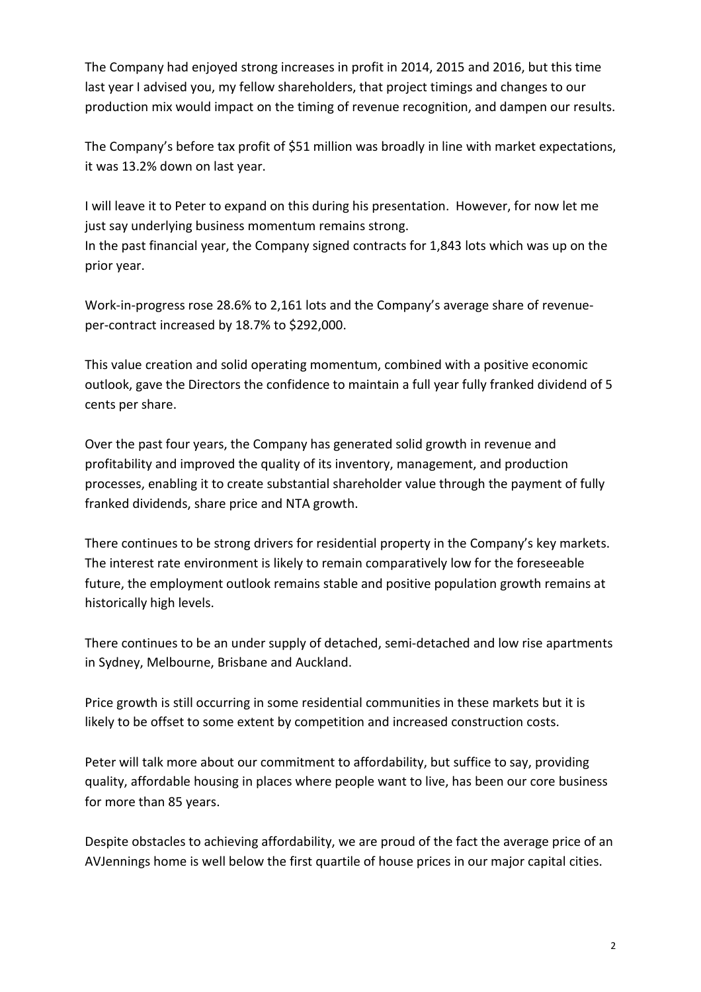The Company had enjoyed strong increases in profit in 2014, 2015 and 2016, but this time last year I advised you, my fellow shareholders, that project timings and changes to our production mix would impact on the timing of revenue recognition, and dampen our results.

The Company's before tax profit of \$51 million was broadly in line with market expectations, it was 13.2% down on last year.

I will leave it to Peter to expand on this during his presentation. However, for now let me just say underlying business momentum remains strong. In the past financial year, the Company signed contracts for 1,843 lots which was up on the prior year.

Work-in-progress rose 28.6% to 2,161 lots and the Company's average share of revenueper-contract increased by 18.7% to \$292,000.

This value creation and solid operating momentum, combined with a positive economic outlook, gave the Directors the confidence to maintain a full year fully franked dividend of 5 cents per share.

Over the past four years, the Company has generated solid growth in revenue and profitability and improved the quality of its inventory, management, and production processes, enabling it to create substantial shareholder value through the payment of fully franked dividends, share price and NTA growth.

There continues to be strong drivers for residential property in the Company's key markets. The interest rate environment is likely to remain comparatively low for the foreseeable future, the employment outlook remains stable and positive population growth remains at historically high levels.

There continues to be an under supply of detached, semi-detached and low rise apartments in Sydney, Melbourne, Brisbane and Auckland.

Price growth is still occurring in some residential communities in these markets but it is likely to be offset to some extent by competition and increased construction costs.

Peter will talk more about our commitment to affordability, but suffice to say, providing quality, affordable housing in places where people want to live, has been our core business for more than 85 years.

Despite obstacles to achieving affordability, we are proud of the fact the average price of an AVJennings home is well below the first quartile of house prices in our major capital cities.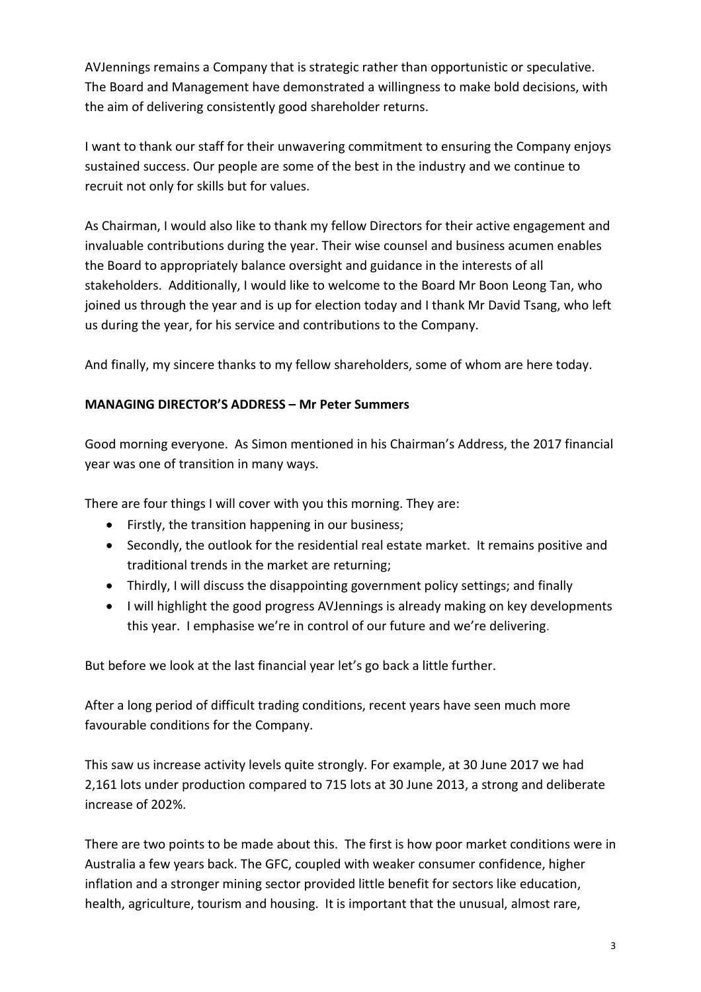AVJennings remains a Company that is strategic rather than opportunistic or speculative. The Board and Management have demonstrated a willingness to make bold decisions, with the aim of delivering consistently good shareholder returns.

I want to thank our staff for their unwavering commitment to ensuring the Company enjoys sustained success. Our people are some of the best in the industry and we continue to recruit not only for skills but for values.

As Chairman, I would also like to thank my fellow Directors for their active engagement and invaluable contributions during the year. Their wise counsel and business acumen enables the Board to appropriately balance oversight and guidance in the interests of all stakeholders. Additionally, I would like to welcome to the Board Mr Boon Leong Tan, who joined us through the year and is up for election today and I thank Mr David Tsang, who left us during the year, for his service and contributions to the Company.

And finally, my sincere thanks to my fellow shareholders, some of whom are here today.

# **MANAGING DIRECTOR'S ADDRESS – Mr Peter Summers**

Good morning everyone. As Simon mentioned in his Chairman's Address, the 2017 financial year was one of transition in many ways.

There are four things I will cover with you this morning. They are:

- Firstly, the transition happening in our business;
- Secondly, the outlook for the residential real estate market. It remains positive and traditional trends in the market are returning;
- Thirdly, I will discuss the disappointing government policy settings; and finally
- I will highlight the good progress AVJennings is already making on key developments this year. I emphasise we're in control of our future and we're delivering.

But before we look at the last financial year let's go back a little further.

After a long period of difficult trading conditions, recent years have seen much more favourable conditions for the Company.

This saw us increase activity levels quite strongly. For example, at 30 June 2017 we had 2,161 lots under production compared to 715 lots at 30 June 2013, a strong and deliberate increase of 202%.

There are two points to be made about this. The first is how poor market conditions were in Australia a few years back. The GFC, coupled with weaker consumer confidence, higher inflation and a stronger mining sector provided little benefit for sectors like education, health, agriculture, tourism and housing. It is important that the unusual, almost rare,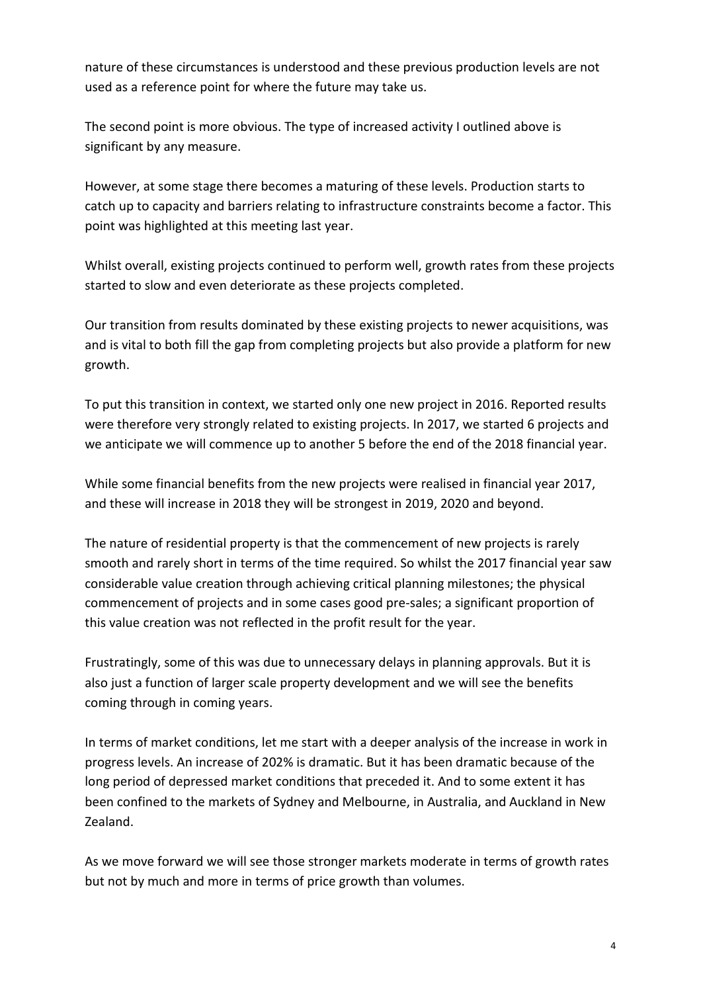nature of these circumstances is understood and these previous production levels are not used as a reference point for where the future may take us.

The second point is more obvious. The type of increased activity I outlined above is significant by any measure.

However, at some stage there becomes a maturing of these levels. Production starts to catch up to capacity and barriers relating to infrastructure constraints become a factor. This point was highlighted at this meeting last year.

Whilst overall, existing projects continued to perform well, growth rates from these projects started to slow and even deteriorate as these projects completed.

Our transition from results dominated by these existing projects to newer acquisitions, was and is vital to both fill the gap from completing projects but also provide a platform for new growth.

To put this transition in context, we started only one new project in 2016. Reported results were therefore very strongly related to existing projects. In 2017, we started 6 projects and we anticipate we will commence up to another 5 before the end of the 2018 financial year.

While some financial benefits from the new projects were realised in financial year 2017, and these will increase in 2018 they will be strongest in 2019, 2020 and beyond.

The nature of residential property is that the commencement of new projects is rarely smooth and rarely short in terms of the time required. So whilst the 2017 financial year saw considerable value creation through achieving critical planning milestones; the physical commencement of projects and in some cases good pre-sales; a significant proportion of this value creation was not reflected in the profit result for the year.

Frustratingly, some of this was due to unnecessary delays in planning approvals. But it is also just a function of larger scale property development and we will see the benefits coming through in coming years.

In terms of market conditions, let me start with a deeper analysis of the increase in work in progress levels. An increase of 202% is dramatic. But it has been dramatic because of the long period of depressed market conditions that preceded it. And to some extent it has been confined to the markets of Sydney and Melbourne, in Australia, and Auckland in New Zealand.

As we move forward we will see those stronger markets moderate in terms of growth rates but not by much and more in terms of price growth than volumes.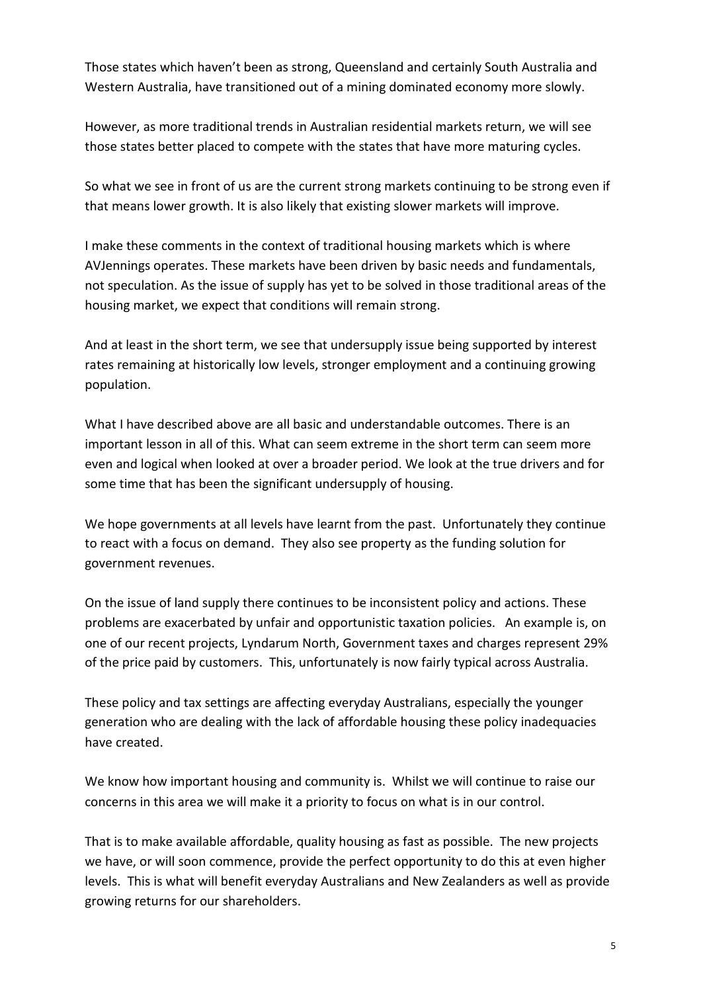Those states which haven't been as strong, Queensland and certainly South Australia and Western Australia, have transitioned out of a mining dominated economy more slowly.

However, as more traditional trends in Australian residential markets return, we will see those states better placed to compete with the states that have more maturing cycles.

So what we see in front of us are the current strong markets continuing to be strong even if that means lower growth. It is also likely that existing slower markets will improve.

I make these comments in the context of traditional housing markets which is where AVJennings operates. These markets have been driven by basic needs and fundamentals, not speculation. As the issue of supply has yet to be solved in those traditional areas of the housing market, we expect that conditions will remain strong.

And at least in the short term, we see that undersupply issue being supported by interest rates remaining at historically low levels, stronger employment and a continuing growing population.

What I have described above are all basic and understandable outcomes. There is an important lesson in all of this. What can seem extreme in the short term can seem more even and logical when looked at over a broader period. We look at the true drivers and for some time that has been the significant undersupply of housing.

We hope governments at all levels have learnt from the past. Unfortunately they continue to react with a focus on demand. They also see property as the funding solution for government revenues.

On the issue of land supply there continues to be inconsistent policy and actions. These problems are exacerbated by unfair and opportunistic taxation policies. An example is, on one of our recent projects, Lyndarum North, Government taxes and charges represent 29% of the price paid by customers. This, unfortunately is now fairly typical across Australia.

These policy and tax settings are affecting everyday Australians, especially the younger generation who are dealing with the lack of affordable housing these policy inadequacies have created.

We know how important housing and community is. Whilst we will continue to raise our concerns in this area we will make it a priority to focus on what is in our control.

That is to make available affordable, quality housing as fast as possible. The new projects we have, or will soon commence, provide the perfect opportunity to do this at even higher levels. This is what will benefit everyday Australians and New Zealanders as well as provide growing returns for our shareholders.